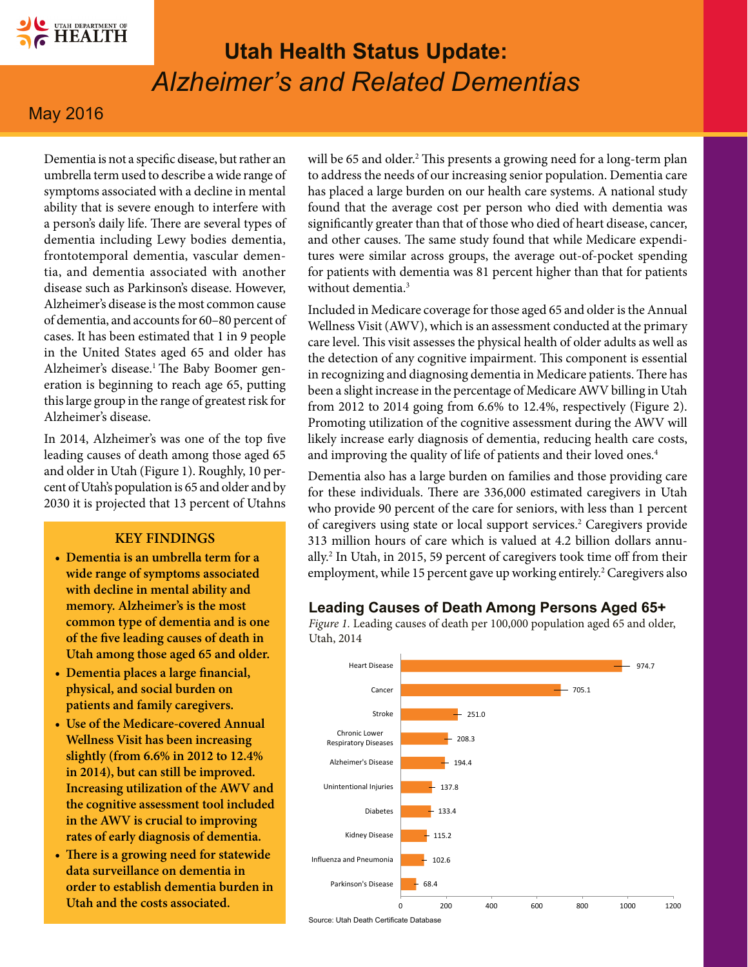

# **Utah Health Status Update:** *Alzheimer's and Related Dementias*

## May 2016

Dementia is not a specific disease, but rather an umbrella term used to describe a wide range of symptoms associated with a decline in mental ability that is severe enough to interfere with a person's daily life. There are several types of dementia including Lewy bodies dementia, frontotemporal dementia, vascular dementia, and dementia associated with another disease such as Parkinson's disease. However, Alzheimer's disease is the most common cause of dementia, and accounts for 60–80 percent of cases. It has been estimated that 1 in 9 people in the United States aged 65 and older has Alzheimer's disease.<sup>1</sup> The Baby Boomer generation is beginning to reach age 65, putting this large group in the range of greatest risk for Alzheimer's disease.

In 2014, Alzheimer's was one of the top five leading causes of death among those aged 65 and older in Utah (Figure 1). Roughly, 10 percent of Utah's population is 65 and older and by 2030 it is projected that 13 percent of Utahns

#### **KEY FINDINGS**

- **• Dementia is an umbrella term for a wide range of symptoms associated with decline in mental ability and memory. Alzheimer's is the most common type of dementia and is one of the five leading causes of death in Utah among those aged 65 and older.**
- **• Dementia places a large financial, physical, and social burden on patients and family caregivers.**
- **• Use of the Medicare-covered Annual Wellness Visit has been increasing slightly (from 6.6% in 2012 to 12.4% in 2014), but can still be improved. Increasing utilization of the AWV and the cognitive assessment tool included in the AWV is crucial to improving rates of early diagnosis of dementia.**
- **• There is a growing need for statewide data surveillance on dementia in order to establish dementia burden in Utah and the costs associated.**

will be 65 and older.2 This presents a growing need for a long-term plan to address the needs of our increasing senior population. Dementia care has placed a large burden on our health care systems. A national study found that the average cost per person who died with dementia was significantly greater than that of those who died of heart disease, cancer, and other causes. The same study found that while Medicare expenditures were similar across groups, the average out-of-pocket spending for patients with dementia was 81 percent higher than that for patients without dementia $3$ 

Included in Medicare coverage for those aged 65 and older is the Annual Wellness Visit (AWV), which is an assessment conducted at the primary care level. This visit assesses the physical health of older adults as well as the detection of any cognitive impairment. This component is essential in recognizing and diagnosing dementia in Medicare patients. There has been a slight increase in the percentage of Medicare AWV billing in Utah from 2012 to 2014 going from 6.6% to 12.4%, respectively (Figure 2). Promoting utilization of the cognitive assessment during the AWV will likely increase early diagnosis of dementia, reducing health care costs, and improving the quality of life of patients and their loved ones.<sup>4</sup>

Dementia also has a large burden on families and those providing care for these individuals. There are 336,000 estimated caregivers in Utah who provide 90 percent of the care for seniors, with less than 1 percent of caregivers using state or local support services.<sup>2</sup> Caregivers provide 313 million hours of care which is valued at 4.2 billion dollars annually.2 In Utah, in 2015, 59 percent of caregivers took time off from their employment, while 15 percent gave up working entirely.<sup>2</sup> Caregivers also

#### **Leading Causes of Death Among Persons Aged 65+**



*Figure 1.* Leading causes of death per 100,000 population aged 65 and older, Utah, 2014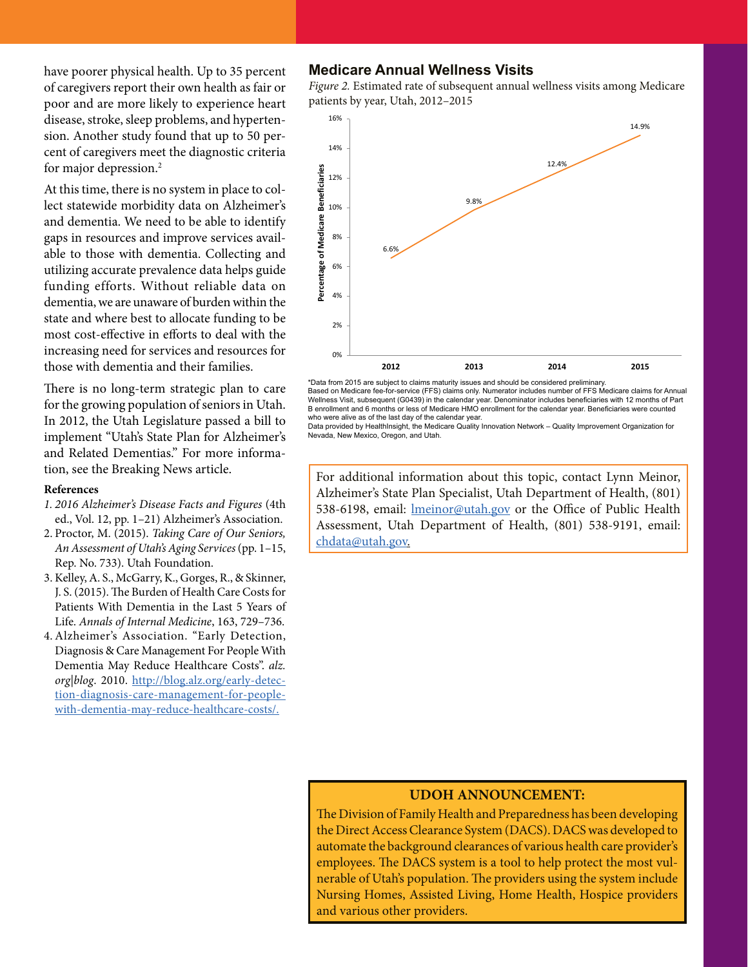have poorer physical health. Up to 35 percent of caregivers report their own health as fair or poor and are more likely to experience heart disease, stroke, sleep problems, and hypertension. Another study found that up to 50 percent of caregivers meet the diagnostic criteria for major depression.2

At this time, there is no system in place to collect statewide morbidity data on Alzheimer's and dementia. We need to be able to identify gaps in resources and improve services available to those with dementia. Collecting and utilizing accurate prevalence data helps guide funding efforts. Without reliable data on dementia, we are unaware of burden within the state and where best to allocate funding to be most cost-effective in efforts to deal with the increasing need for services and resources for those with dementia and their families.

There is no long-term strategic plan to care for the growing population of seniors in Utah. In 2012, the Utah Legislature passed a bill to implement "Utah's State Plan for Alzheimer's and Related Dementias." For more information, see the [Breaking News](#page-2-0) article.

#### **References**

- *1. 2016 Alzheimer's Disease Facts and Figures* (4th ed., Vol. 12, pp. 1–21) Alzheimer's Association.
- 2. Proctor, M. (2015). *Taking Care of Our Seniors, An Assessment of Utah's Aging Services* (pp. 1–15, Rep. No. 733). Utah Foundation.
- 3. Kelley, A. S., McGarry, K., Gorges, R., & Skinner, J. S. (2015). The Burden of Health Care Costs for Patients With Dementia in the Last 5 Years of Life. *Annals of Internal Medicine*, 163, 729–736.
- 4. Alzheimer's Association. "Early Detection, Diagnosis & Care Management For People With Dementia May Reduce Healthcare Costs". *alz. org|blog*. 2010. [http://blog.alz.org/early-detec](http://blog.alz.org/early-detection-diagnosis-care-management-for-people-with-dementia-may-reduce-healthcare-costs/)[tion-diagnosis-care-management-for-people](http://blog.alz.org/early-detection-diagnosis-care-management-for-people-with-dementia-may-reduce-healthcare-costs/)[with-dementia-may-reduce-healthcare-costs/](http://blog.alz.org/early-detection-diagnosis-care-management-for-people-with-dementia-may-reduce-healthcare-costs/).

#### **Medicare Annual Wellness Visits**

*Figure 2.* Estimated rate of subsequent annual wellness visits among Medicare patients by year, Utah, 2012–2015



Based on Medicare fee-for-service (FFS) claims only. Numerator includes number of FFS Medicare claims for Annual Wellness Visit, subsequent (G0439) in the calendar year. Denominator includes beneficiaries with 12 months of Part B enrollment and 6 months or less of Medicare HMO enrollment for the calendar year. Beneficiaries were counted who were alive as of the last day of the calendar year.

Data provided by HealthInsight, the Medicare Quality Innovation Network – Quality Improvement Organization for Nevada, New Mexico, Oregon, and Utah.

For additional information about this topic, contact Lynn Meinor, Alzheimer's State Plan Specialist, Utah Department of Health, (801) 538-6198, email: *Imeinor@utah.gov* or the Office of Public Health Assessment, Utah Department of Health, (801) 538-9191, email: [chdata@utah.gov](mailto:chdata%40utah.gov?subject=).

#### **UDOH ANNOUNCEMENT:**

The Division of Family Health and Preparedness has been developing the Direct Access Clearance System (DACS). DACS was developed to automate the background clearances of various health care provider's employees. The DACS system is a tool to help protect the most vulnerable of Utah's population. The providers using the system include Nursing Homes, Assisted Living, Home Health, Hospice providers and various other providers.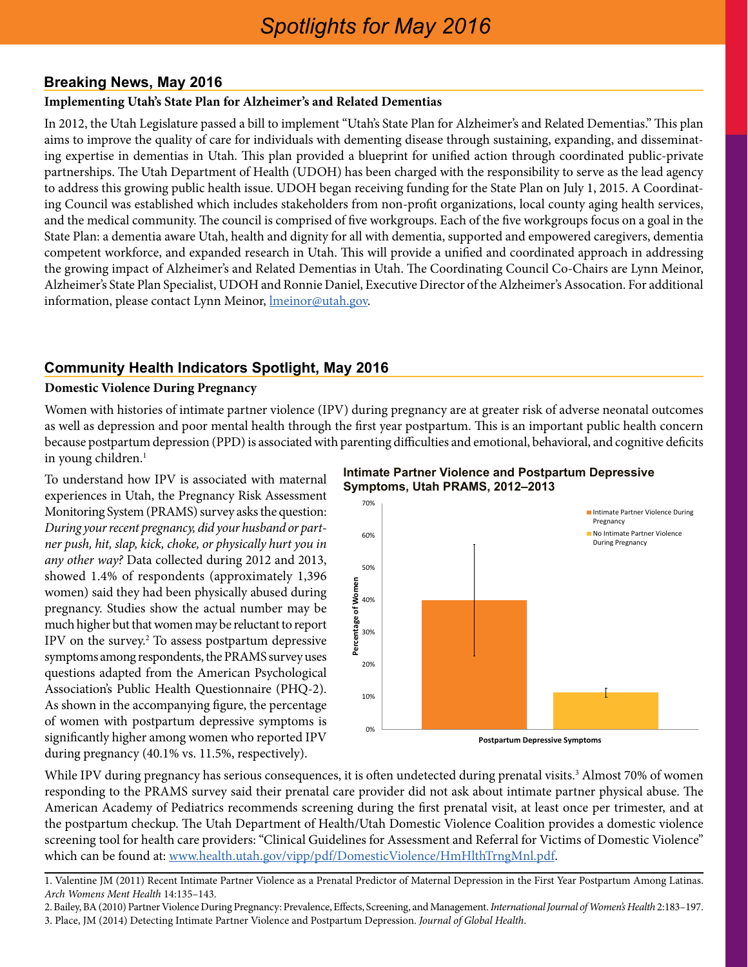## <span id="page-2-0"></span>**Breaking News, May 2016**

#### **Implementing Utah's State Plan for Alzheimer's and Related Dementias**

In 2012, the Utah Legislature passed a bill to implement "Utah's State Plan for Alzheimer's and Related Dementias." This plan aims to improve the quality of care for individuals with dementing disease through sustaining, expanding, and disseminating expertise in dementias in Utah. This plan provided a blueprint for unified action through coordinated public-private partnerships. The Utah Department of Health (UDOH) has been charged with the responsibility to serve as the lead agency to address this growing public health issue. UDOH began receiving funding for the State Plan on July 1, 2015. A Coordinating Council was established which includes stakeholders from non-profit organizations, local county aging health services, and the medical community. The council is comprised of five workgroups. Each of the five workgroups focus on a goal in the State Plan: a dementia aware Utah, health and dignity for all with dementia, supported and empowered caregivers, dementia competent workforce, and expanded research in Utah. This will provide a unified and coordinated approach in addressing the growing impact of Alzheimer's and Related Dementias in Utah. The Coordinating Council Co-Chairs are Lynn Meinor, Alzheimer's State Plan Specialist, UDOH and Ronnie Daniel, Executive Director of the Alzheimer's Assocation. For additional information, please contact Lynn Meinor, *Imeinor@utah.gov.* 

## **Community Health Indicators Spotlight, May 2016**

#### **Domestic Violence During Pregnancy**

Women with histories of intimate partner violence (IPV) during pregnancy are at greater risk of adverse neonatal outcomes as well as depression and poor mental health through the first year postpartum. This is an important public health concern because postpartum depression (PPD) is associated with parenting difficulties and emotional, behavioral, and cognitive deficits in young children.<sup>1</sup>

To understand how IPV is associated with maternal experiences in Utah, the Pregnancy Risk Assessment Monitoring System (PRAMS) survey asks the question: *During your recent pregnancy, did your husband or partner push, hit, slap, kick, choke, or physically hurt you in any other way?* Data collected during 2012 and 2013, showed 1.4% of respondents (approximately 1,396 women) said they had been physically abused during pregnancy. Studies show the actual number may be much higher but that women may be reluctant to report IPV on the survey.<sup>2</sup> To assess postpartum depressive symptoms among respondents, the PRAMS survey uses questions adapted from the American Psychological Association's Public Health Questionnaire (PHQ-2). As shown in the accompanying figure, the percentage of women with postpartum depressive symptoms is significantly higher among women who reported IPV during pregnancy (40.1% vs. 11.5%, respectively).





While IPV during pregnancy has serious consequences, it is often undetected during prenatal visits.<sup>3</sup> Almost 70% of women responding to the PRAMS survey said their prenatal care provider did not ask about intimate partner physical abuse. The American Academy of Pediatrics recommends screening during the first prenatal visit, at least once per trimester, and at the postpartum checkup. The Utah Department of Health/Utah Domestic Violence Coalition provides a domestic violence screening tool for health care providers: "Clinical Guidelines for Assessment and Referral for Victims of Domestic Violence" which can be found at:<www.health.utah.gov/vipp/pdf/DomesticViolence/HmHlthTrngMnl.pdf>.

1. Valentine JM (2011) Recent Intimate Partner Violence as a Prenatal Predictor of Maternal Depression in the First Year Postpartum Among Latinas. *Arch Womens Ment Health* 14:135–143.

2. Bailey, BA (2010) Partner Violence During Pregnancy: Prevalence, Effects, Screening, and Management. *International Journal of Women's Health* 2:183–197. 3. Place, JM (2014) Detecting Intimate Partner Violence and Postpartum Depression. *Journal of Global Health*.